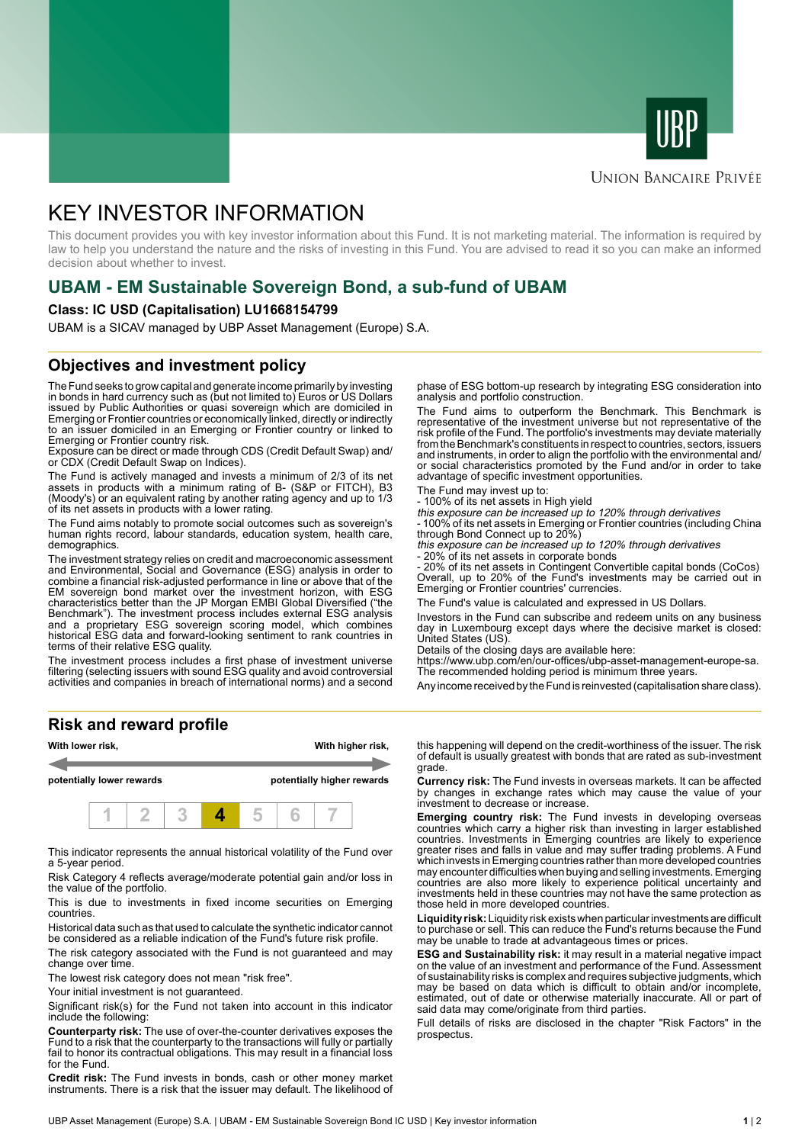



### **UNION BANCAIRE PRIVÉE**

# KEY INVESTOR INFORMATION

This document provides you with key investor information about this Fund. It is not marketing material. The information is required by law to help you understand the nature and the risks of investing in this Fund. You are advised to read it so you can make an informed decision about whether to invest.

# **UBAM - EM Sustainable Sovereign Bond, a sub-fund of UBAM**

### **Class: IC USD (Capitalisation) LU1668154799**

UBAM is a SICAV managed by UBP Asset Management (Europe) S.A.

### **Objectives and investment policy**

The Fund seeks to grow capital and generate income primarily by investing in bonds in hard currency such as (but not limited to) Euros or US Dollars issued by Public Authorities or quasi sovereign which are domiciled in Emerging or Frontier countries or economically linked, directly or indirectly to an issuer domiciled in an Emerging or Frontier country or linked to Emerging or Frontier country risk.

Exposure can be direct or made through CDS (Credit Default Swap) and/ or CDX (Credit Default Swap on Indices).

The Fund is actively managed and invests a minimum of 2/3 of its net assets in products with a minimum rating of B- (S&P or FITCH), B3 (Moody's) or an equivalent rating by another rating agency and up to 1/3 of its net assets in products with a lower rating.

The Fund aims notably to promote social outcomes such as sovereign's human rights record, labour standards, education system, health care, demographics.

The investment strategy relies on credit and macroeconomic assessment and Environmental, Social and Governance (ESG) analysis in order to combine a financial risk-adjusted performance in line or above that of the EM sovereign bond market over the investment horizon, with ESG characteristics better than the JP Morgan EMBI Global Diversified ("the Benchmark"). The investment process includes external ESG analysis and a proprietary ESG sovereign scoring model, which combines historical ESG data and forward-looking sentiment to rank countries in terms of their relative ESG quality.

The investment process includes a first phase of investment universe filtering (selecting issuers with sound ESG quality and avoid controversial activities and companies in breach of international norms) and a second

**Risk and reward profile**



This indicator represents the annual historical volatility of the Fund over a 5-year period.

Risk Category 4 reflects average/moderate potential gain and/or loss in the value of the portfolio.

This is due to investments in fixed income securities on Emerging countries.

Historical data such as that used to calculate the synthetic indicator cannot be considered as a reliable indication of the Fund's future risk profile.

The risk category associated with the Fund is not guaranteed and may change over time.

The lowest risk category does not mean "risk free".

Your initial investment is not guaranteed.

Significant risk(s) for the Fund not taken into account in this indicator include the following:

**Counterparty risk:** The use of over-the-counter derivatives exposes the Fund to a risk that the counterparty to the transactions will fully or partially fail to honor its contractual obligations. This may result in a financial loss for the Fund.

**Credit risk:** The Fund invests in bonds, cash or other money market instruments. There is a risk that the issuer may default. The likelihood of phase of ESG bottom-up research by integrating ESG consideration into analysis and portfolio construction.

The Fund aims to outperform the Benchmark. This Benchmark is representative of the investment universe but not representative of the risk profile of the Fund. The portfolio's investments may deviate materially from the Benchmark's constituents in respect to countries, sectors, issuers and instruments, in order to align the portfolio with the environmental and/ or social characteristics promoted by the Fund and/or in order to take advantage of specific investment opportunities.

The Fund may invest up to:

- 100% of its net assets in High yield

this exposure can be increased up to 120% through derivatives - 100% of its net assets in Emerging or Frontier countries (including China

through Bond Connect up to 20%) this exposure can be increased up to 120% through derivatives

20% of its net assets in corporate bonds

- 20% of its net assets in Contingent Convertible capital bonds (CoCos) Overall, up to 20% of the Fund's investments may be carried out in Emerging or Frontier countries' currencies.

The Fund's value is calculated and expressed in US Dollars.

Investors in the Fund can subscribe and redeem units on any business day in Luxembourg except days where the decisive market is closed: United States (US).

Details of the closing days are available here:

https://www.ubp.com/en/our-offices/ubp-asset-management-europe-sa. The recommended holding period is minimum three years.

Any income received by the Fund is reinvested (capitalisation share class).

this happening will depend on the credit-worthiness of the issuer. The risk of default is usually greatest with bonds that are rated as sub-investment grade.

**Currency risk:** The Fund invests in overseas markets. It can be affected by changes in exchange rates which may cause the value of your investment to decrease or increase.

**Emerging country risk:** The Fund invests in developing overseas countries which carry a higher risk than investing in larger established countries. Investments in Emerging countries are likely to experience greater rises and falls in value and may suffer trading problems. A Fund which invests in Emerging countries rather than more developed countries may encounter difficulties when buying and selling investments. Emerging countries are also more likely to experience political uncertainty and investments held in these countries may not have the same protection as those held in more developed countries.

**Liquidity risk:** Liquidity risk exists when particular investments are difficult to purchase or sell. This can reduce the Fund's returns because the Fund may be unable to trade at advantageous times or prices.

**ESG and Sustainability risk:** it may result in a material negative impact on the value of an investment and performance of the Fund. Assessment of sustainability risks is complex and requires subjective judgments, which may be based on data which is difficult to obtain and/or incomplete, estimated, out of date or otherwise materially inaccurate. All or part of said data may come/originate from third parties.

Full details of risks are disclosed in the chapter "Risk Factors" in the prospectus.